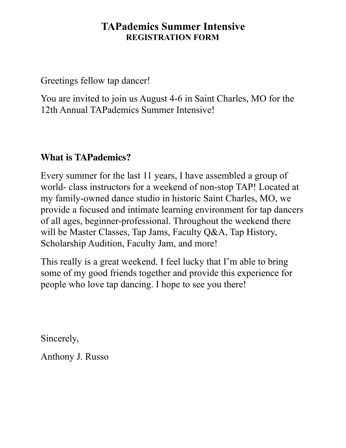## **TAPademics Summer Intensive REGISTRATION FORM**

Greetings fellow tap dancer!

You are invited to join us August 4-6 in Saint Charles, MO for the 12th Annual TAPademics Summer Intensive!

## **What is TAPademics?**

Every summer for the last 11 years, I have assembled a group of world- class instructors for a weekend of non-stop TAP! Located at my family-owned dance studio in historic Saint Charles, MO, we provide a focused and intimate learning environment for tap dancers of all ages, beginner-professional. Throughout the weekend there will be Master Classes, Tap Jams, Faculty Q&A, Tap History, Scholarship Audition, Faculty Jam, and more!

This really is a great weekend. I feel lucky that I'm able to bring some of my good friends together and provide this experience for people who love tap dancing. I hope to see you there!

Sincerely,

Anthony J. Russo